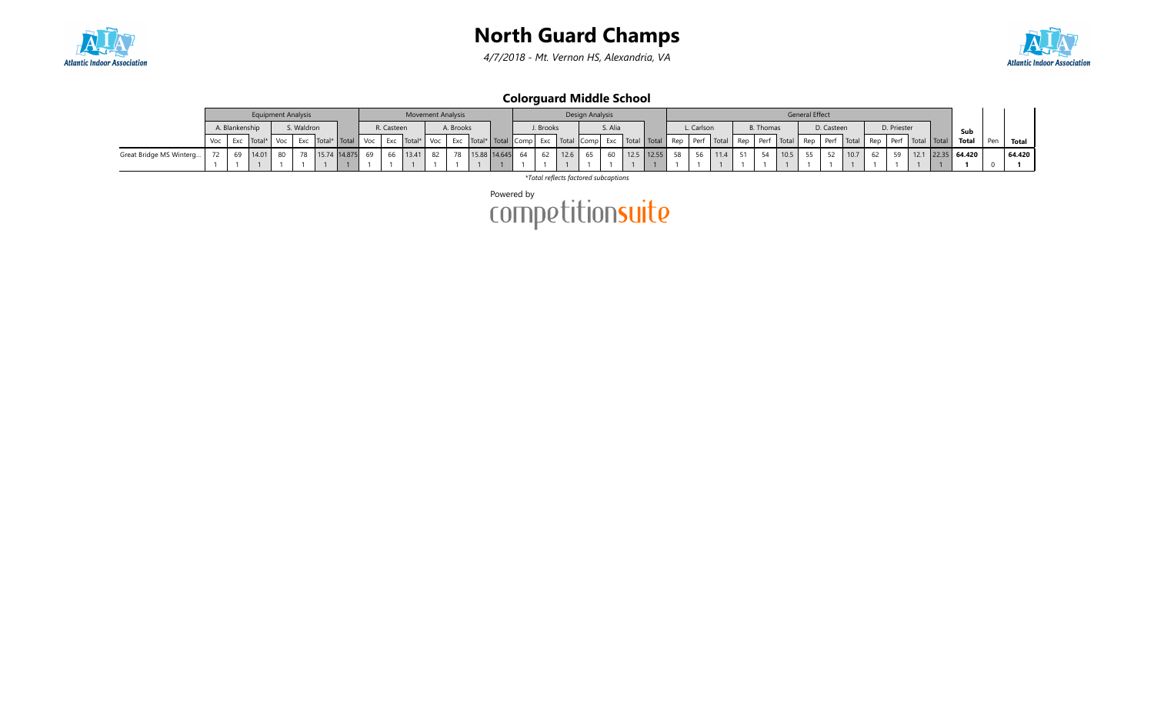

4/7/2018 - Mt. Vernon HS, Alexandria, VA



Colorguard Middle School

|                         |                | <b>Equipment Analysis</b> |            |                  |    |            | <b>Movement Analysis</b> |     |           |                       |           |           | Design Analysis |         |            |    |         |      |    |                  |      | <b>General Effect</b> |            |        |             |                                                                                                                                                                                                                           |                     |     |        |
|-------------------------|----------------|---------------------------|------------|------------------|----|------------|--------------------------|-----|-----------|-----------------------|-----------|-----------|-----------------|---------|------------|----|---------|------|----|------------------|------|-----------------------|------------|--------|-------------|---------------------------------------------------------------------------------------------------------------------------------------------------------------------------------------------------------------------------|---------------------|-----|--------|
|                         | A. Blankenship |                           | S. Waldron |                  |    | R. Casteen |                          |     | A. Brooks |                       | J. Brooks |           |                 | S. Alia |            |    | Carlson |      |    | <b>B.</b> Thomas |      |                       | D. Casteen |        | D. Priester |                                                                                                                                                                                                                           | Sub                 |     |        |
|                         | Exc            | Total <sup>*</sup>        | Exc        | Jotal* Total Voc |    |            | Exc Total*               | Voc |           |                       |           |           |                 |         |            |    |         |      |    |                  |      |                       |            |        |             | Exc  Total*   Total   Comp  Exc   Total   Comp  Exc   Total   Total   Rep   Perf   Total   Rep   Perf   Total   Rep   Perf   Total   Rep   Perf   Total   Rep   Perf   Total   Rep   Perf   Total   Total   Total   Total | Total               | Pen | Total  |
| Great Bridge MS Winterg |                | 14.01                     |            | 15.74 14.875     | 69 |            | 66 13.41                 | 82  | 78        | $15.88$   14.645   64 | 62        | $12.6$ 65 |                 | 60      | 12.5 12.55 | 58 | 56      | 11.4 | 51 |                  | 10.5 | 55                    | 52         | $10.7$ | 59          |                                                                                                                                                                                                                           | $12.1$ 22.35 64.420 |     | 64.420 |
|                         |                |                           |            |                  |    |            |                          |     |           |                       |           |           |                 |         |            |    |         |      |    |                  |      |                       |            |        |             |                                                                                                                                                                                                                           |                     |     |        |

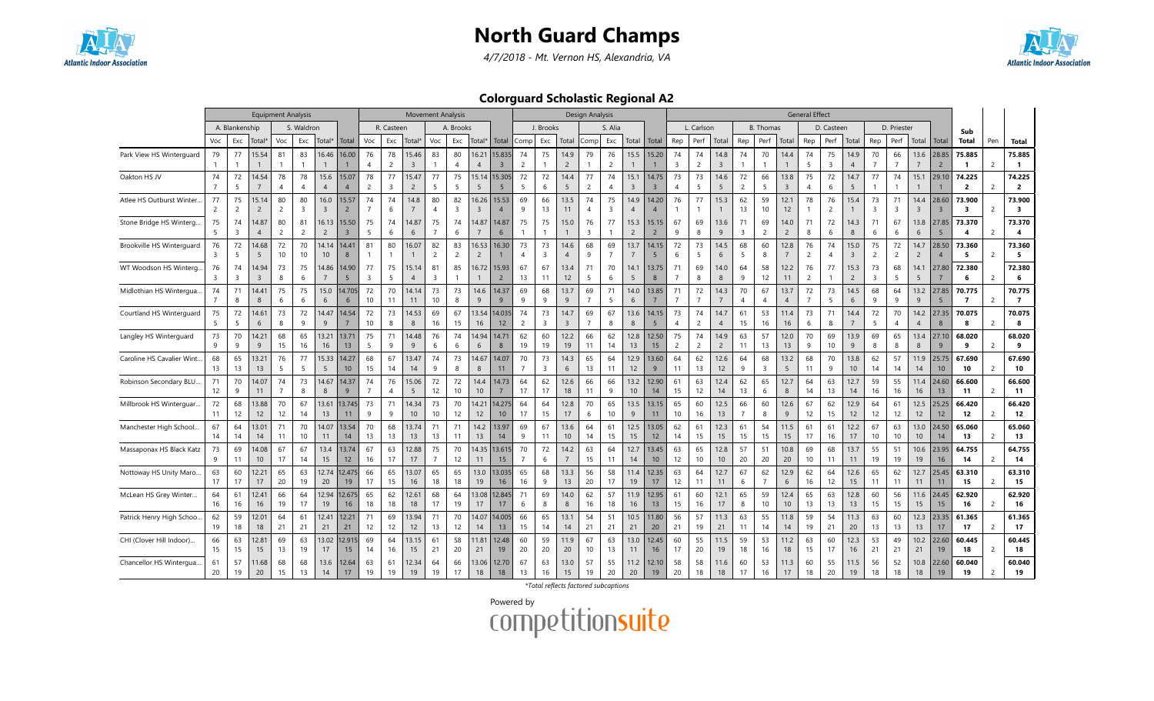

4/7/2018 - Mt. Vernon HS, Alexandria, VA



Colorguard Scholastic Regional A2

|                           | <b>Equipment Analysis</b><br>A. Blankenship<br>S. Waldron |                      |                         |                      |                        |                           |                         |                               | <b>Movement Analysis</b> |                         |                      |                      |                         |                         |                      |                               | Design Analysis        |                      |                       |                        |                         |                         |                      |                        |                      |                      | <b>General Effect</b>  |                      |                      |                        |                      |                      |                        |                          |                          |                |                                   |
|---------------------------|-----------------------------------------------------------|----------------------|-------------------------|----------------------|------------------------|---------------------------|-------------------------|-------------------------------|--------------------------|-------------------------|----------------------|----------------------|-------------------------|-------------------------|----------------------|-------------------------------|------------------------|----------------------|-----------------------|------------------------|-------------------------|-------------------------|----------------------|------------------------|----------------------|----------------------|------------------------|----------------------|----------------------|------------------------|----------------------|----------------------|------------------------|--------------------------|--------------------------|----------------|-----------------------------------|
|                           |                                                           |                      |                         |                      |                        |                           |                         |                               | R. Casteen               |                         |                      | A. Brooks            |                         |                         |                      | J. Brooks                     |                        |                      | S. Alia               |                        |                         |                         | L. Carlson           |                        |                      | <b>B.</b> Thomas     |                        |                      | D. Casteen           |                        |                      | D. Priester          |                        |                          | Sub                      |                |                                   |
|                           | Voc                                                       | Exc                  | Total*                  | Voc                  | Exc                    | Total*                    | Total                   | Voc                           | Exc                      | Total*                  | Voc                  | Exc                  | Total*                  | Total                   | Comp                 | Exc                           | Total                  | Comp                 | Exc                   |                        | Total   Total           | Rep                     | Perf                 | Total                  | Rep                  | Perf                 | Total                  | Rep                  | Perf                 | Total                  | Rep                  | Perf                 | Total                  | Total                    | Total                    | Pen            | <b>Total</b>                      |
| Park View HS Winterguard  | 79                                                        | 77                   | 15.54                   | 81                   | 83                     | 16.46                     | 16.00                   | 76                            | 78                       | 15.46                   | 83                   | 80                   | 16.21                   | 15.835                  | 74                   | 75                            | 14.9                   | 79                   | 76                    | 15.5                   | 15.20                   | 74                      | 74                   | 14.8                   | 74                   | 70                   | 14.4                   | 74                   | 75                   | 14.9                   | 70                   | 66                   | 13.6                   | 28.85                    | 75.885                   |                | 75.885                            |
|                           |                                                           |                      |                         | $\mathbf{1}$         |                        |                           |                         | $\overline{4}$                | $\overline{2}$           | 3                       |                      | $\overline{A}$       | $\overline{4}$          | $\overline{3}$          | $\overline{2}$       |                               | $\overline{2}$         | $\overline{1}$       | $\overline{2}$        |                        |                         | $\overline{\mathbf{3}}$ | $\overline{2}$       | 3                      |                      |                      | $\mathbf{1}$           | 5                    | 3                    | $\overline{4}$         | $\overline{7}$       | $\overline{7}$       | $7\phantom{.0}$        | $\overline{2}$           |                          | 2              | $\overline{1}$                    |
| Oakton HS JV              | 74                                                        | 72<br>5              | 14.54                   | 78<br>$\overline{4}$ | 78<br>$\overline{4}$   | 15.6<br>$\overline{4}$    | 15.07<br>$\overline{4}$ | 78<br>$\overline{2}$          | 77<br>$\overline{3}$     | 15.47<br>$\overline{2}$ | 77<br>5              | 75<br>5              | 15.14<br>5              | 15.305<br>5             | 72<br>5              | 72<br>6                       | 14.4<br>5              | 77<br>$\overline{2}$ | 74<br>$\overline{4}$  | 15.1<br>$\overline{3}$ | 14.75<br>$\overline{3}$ | 73<br>$\overline{4}$    | 73<br>5              | 14.6<br>5              | 72<br>$\overline{c}$ | 66<br>5              | 13.8<br>$\overline{3}$ | 75<br>$\overline{4}$ | 72<br>6              | 14.7<br>5              | 77                   | 74<br>$\mathbf{1}$   | 15.1                   | 29.10                    | 74.225<br>$\overline{2}$ | $\overline{2}$ | 74.225<br>$\overline{2}$          |
| Atlee HS Outburst Winter  | 77<br>$\overline{c}$                                      | 75<br>$\overline{2}$ | 15.14<br>$\overline{2}$ | 80<br>2              | 80<br>3                | 16.0<br>$\overline{3}$    | 15.57<br>$\overline{2}$ | 74<br>$\overline{7}$          | 74<br>6                  | 14.8<br>$\overline{7}$  | 80<br>$\overline{4}$ | 82<br>$\overline{3}$ | 16.26<br>$\overline{3}$ | 15.53<br>$\overline{4}$ | 69<br>9              | 66<br>13                      | 13.5<br>11             | 74<br>$\overline{4}$ | 75<br>3               | 14.9<br>$\overline{4}$ | 14.20<br>$\overline{4}$ | 76                      | 77<br>$\mathbf{1}$   | 15.3                   | 62<br>13             | 59<br>10             | 12.1<br>12             | 78<br>$\mathbf{1}$   | 76<br>$\overline{c}$ | 15.4<br>$\mathbf{1}$   | 73<br>3              | 71<br>3              | 14.4<br>$\overline{3}$ | 28.60<br>$\overline{3}$  | 73.900<br>3              | 2              | 73.900<br>$\overline{\mathbf{3}}$ |
| Stone Bridge HS Winterg   | 75<br>5                                                   | 74<br>$\overline{3}$ | 14.87<br>$\overline{4}$ | 80<br>$\overline{2}$ | 81<br>$\overline{c}$   | 16.13<br>$\overline{2}$   | 15.50<br>$\overline{3}$ | 75<br>5                       | 74<br>6                  | 14.87<br>6              | 75<br>$\overline{7}$ | 74<br>6              | 14.87                   | 14.87<br>6              | 75                   | 75<br>$\mathbf{1}$            | 15.0                   | 76<br>3              | 77                    | 15.3<br>$\overline{2}$ | 15.15<br>$\overline{2}$ | 67<br>9                 | 69<br>8              | 13.6<br>9              | 71<br>3              | 69<br>$\overline{2}$ | 14.0<br>$\overline{2}$ | 71<br>8              | 72<br>6              | 14.3<br>8              | 71<br>6              | 67<br>6              | 13.8<br>6              | 27.85<br>5               | 73.370<br>4              | $\overline{2}$ | 73.370<br>$\overline{4}$          |
| Brookville HS Winterguard | 76<br>3                                                   | 72<br>5              | 14.68<br>5              | 72<br>10             | 70<br>10 <sup>1</sup>  | 14.14<br>10 <sup>10</sup> | 14.41<br>8              | 81                            | 80                       | 16.07                   | 82<br>$\overline{2}$ | 83<br>$\overline{2}$ | 16.53<br>$\overline{2}$ | 16.30                   | 73<br>$\overline{4}$ | 73<br>$\overline{3}$          | 14.6<br>$\overline{4}$ | 68<br>9              | 69<br>$\overline{7}$  | 13.7<br>$\overline{7}$ | 14.15<br>5              | 72<br>6                 | 73<br>5              | 14.5<br>6              | 68<br>5              | 60<br>8              | 12.8<br>$\overline{7}$ | 76<br>$\overline{2}$ | 74<br>$\overline{4}$ | 15.0<br>$\overline{3}$ | 75<br>$\overline{2}$ | 72<br>$\overline{2}$ | 14.7<br>$\overline{2}$ | 28.50<br>$\overline{4}$  | 73.360<br>5              | 2              | 73.360<br>5                       |
| WT Woodson HS Winterg     | 76<br>3                                                   | 74<br>$\overline{3}$ | 14.94<br>3              | 73<br>8              | 75<br>6                | 14.86<br>$\overline{7}$   | 14.90<br>5              | 77<br>$\overline{\mathbf{3}}$ | 75<br>5                  | 15.14<br>$\overline{4}$ | 81<br>$\overline{3}$ | 85                   | 16.72<br>$\overline{1}$ | 15.93<br>$\overline{2}$ | 67<br>13             | 67<br>11                      | 13.4<br>12             | 71<br>5              | 70<br>6               | 14.1<br>5              | 13.75<br>8              | 71<br>$\overline{7}$    | 69<br>8              | 14.0<br>8              | 64<br>9              | 58<br>12             | 12.2<br>11             | 76<br>2              | 77                   | 15.3<br>$\overline{2}$ | 73<br>3              | 68<br>5              | 14.1<br>5              | 27.80                    | 72.380<br>6              | $\overline{2}$ | 72.380<br>6                       |
| Midlothian HS Wintergua   | 74                                                        | 71<br>8              | 14.41<br>8              | 75<br>6              | 75<br>6                | 15.0<br>6                 | 14.705<br>6             | 72<br>10                      | 70<br>11                 | 14.14<br>11             | 73<br>10             | 73<br>8              | 14.6<br>9               | 14.37<br>$\mathbf{q}$   | 69<br>9              | 68<br>9                       | 13.7<br>9              | 69<br>$\overline{7}$ | 71<br>5               | 14.0<br>6              | 13.85<br>$\overline{7}$ | 71<br>$\overline{7}$    | 72<br>$\overline{7}$ | 14.3<br>$\overline{7}$ | 70<br>$\Delta$       | 67<br>$\overline{A}$ | 13.7<br>$\overline{4}$ | 72<br>$\overline{7}$ | 73<br>5              | 14.5<br>6              | 68<br>9              | 64<br>$\mathbf{q}$   | 13.2<br>9              | 27.85<br>5               | 70.775<br>$\overline{7}$ | $\overline{2}$ | 70.775<br>$\overline{7}$          |
| Courtland HS Winterguard  | 75<br>5                                                   | 72<br>5              | 14.61<br>6              | 73<br>8              | 72<br>9                | 14.47<br>9                | 14.54                   | 72<br>10                      | 73<br>8                  | 14.53<br>8              | 69<br>16             | 67<br>15             | 13.54<br>16             | 4.035<br>12             | 74<br>$\overline{c}$ | 73<br>$\overline{\mathbf{3}}$ | 14.7<br>$\overline{3}$ | 69<br>$\overline{7}$ | 67<br>8               | 13.6<br>8              | 14.15<br>5              | 73<br>$\overline{4}$    | 74<br>$\overline{2}$ | 14.7<br>$\overline{4}$ | 61<br>15             | 53<br>16             | 11.4<br>16             | 73<br>6              | 71<br>8              | 14.4<br>$\overline{7}$ | 72<br>5              | 70<br>$\overline{4}$ | 14.2<br>$\overline{4}$ | 27.35<br>8               | 70.075<br>8              | 2              | 70.075<br>8                       |
| Langley HS Winterguard    | 73<br>9                                                   | 70<br>9              | 14.21<br>9              | 68<br>15             | 65<br>16               | 13.21<br>16               | 13.71<br>13             | 75<br>- 5                     | 71<br>9                  | 14.48<br>9              | 76<br>6              | 74<br>6              | 14.94<br>6              | 14.71<br>8              | 62<br>19             | 60<br>19                      | 12.2<br>19             | 66<br>11             | 62<br>14              | 12.8<br>13             | 12.50<br>15             | 75<br>$\overline{2}$    | 74<br>$\overline{2}$ | 14.9<br>$\overline{2}$ | 63<br>11             | 57<br>13             | 12.0<br>13             | 70<br>$\overline{9}$ | 69<br>10             | 13.9<br>9              | 69<br>8              | 65<br>8              | 13.4<br>8              | 27.10<br>9               | 68.020<br>9              | $\overline{2}$ | 68.020<br>9                       |
| Caroline HS Cavalier Wint | 68<br>13                                                  | 65<br>13             | 13.21<br>13             | 76<br>5              | 77<br>5                | 15.33<br>5                | 14.27<br>10             | 68<br>15                      | 67<br>14                 | 13.47<br>14             | 74<br>9              | 73<br>8              | 14.67<br>8              | 14.07<br>11             | 70<br>$\overline{7}$ | 73<br>$\overline{3}$          | 14.3<br>6              | 65<br>13             | 64<br>11              | 12.9<br>12             | 13.60<br>$\overline{9}$ | 64<br>11                | 62<br>13             | 12.6<br>12             | 64<br>9              | 68<br>$\overline{3}$ | 13.2<br>5              | 68<br>11             | 70<br>9              | 13.8<br>10             | 62<br>14             | 57<br>14             | 11.9<br>14             | 25.75<br>10 <sup>1</sup> | 67.690<br>10             | $\overline{2}$ | 67.690<br>10                      |
| Robinson Secondary BLU    | 71<br>12                                                  | 70<br>9              | 14.07<br>11             | 74<br>$\overline{7}$ | 73<br>8                | 14.67<br>8                | 14.37<br>9              | 74<br>$\overline{7}$          | 76<br>$\overline{4}$     | 15.06<br>5              | 72<br>12             | 72<br>10             | 14.4<br>10              | 14.73<br>$\overline{7}$ | 64<br>17             | 62<br>17                      | 12.6<br>18             | 66<br>11             | 66<br>9               | 13.2<br>10             | 12.90<br>14             | 61<br>15                | 63<br>12             | 12.4<br>14             | 62<br>13             | 65<br>6              | 12.7<br>8              | 64<br>14             | 63<br>13             | 12.7<br>14             | 59<br>16             | 55<br>16             | 11.4<br>16             | 24.60<br>13              | 66.600<br>11             | $\overline{2}$ | 66.600<br>11                      |
| Millbrook HS Winterguar   | 72<br>11                                                  | 68<br>12             | 13.88<br>12             | 70<br>12             | 67<br>14               | 13.61<br>13               | 13.745<br>11            | 73<br>9                       | 71<br>9                  | 14.34<br>$10$           | 73<br>10             | 70<br>12             | 14.21<br>12             | 4.275<br>$10$           | 64<br>17             | 64<br>15                      | 12.8<br>17             | 70<br>6              | 65<br>10 <sup>°</sup> | 13.5<br>9              | 13.15<br>11             | 65<br>10                | 60<br>16             | 12.5<br>13             | 66<br>$\overline{7}$ | 60<br>8              | 12.6<br>$\mathbf{q}$   | 67<br>12             | 62<br>15             | 12.9<br>12             | 64<br>12             | 61<br>12             | 12.5<br>12             | 25.25<br>12              | 66.420<br>12             | $\overline{2}$ | 66.420<br>12                      |
| Manchester High School    | 67<br>14                                                  | 64<br>14             | 13.01<br>14             | 71<br>11             | 70<br>10 <sup>10</sup> | 14.07<br>11               | 13.54<br>14             | 70<br>13                      | 68<br>13                 | 13.74<br>13             | 71<br>13             | 71<br>11             | 14.2<br>13              | 13.97<br>14             | 69<br>9              | 67<br>11                      | 13.6<br>10             | 64<br>14             | 61<br>15              | 12.5<br>15             | 13.05<br>12             | 62<br>14                | 61<br>15             | 12.3<br>15             | 61<br>15             | 54<br>15             | 11.5<br>15             | 61<br>17             | 61<br>16             | 12.2<br>17             | 67<br>10             | 63<br>10             | 13.0<br>10             | 24.50<br>14              | 65.060<br>13             | $\overline{2}$ | 65.060<br>13                      |
| Massaponax HS Black Katz  | 73<br>9                                                   | 69<br>11             | 14.08<br>10             | 67<br>17             | 67<br>14               | 13.4<br>15                | 13.74<br>12             | 67<br>16                      | 63<br>17                 | 12.88<br>17             | 75<br>$\overline{7}$ | 70<br>12             | 14.35<br>11             | 13.615<br>15            | 70<br>$\overline{7}$ | 72<br>6                       | 14.2<br>$\overline{7}$ | 63<br>15             | 64<br>11              | 12.7<br>14             | 13.45<br>10             | 63<br>12                | 65<br>10             | 12.8<br>10             | 57<br>20             | 51<br>20             | 10.8<br>20             | 69<br>10             | 68<br>11             | 13.7<br>11             | 55<br>19             | 51<br>19             | 10.6<br>19             | 23.95<br>16              | 64.755<br>14             | 2              | 64.755<br>14                      |
| Nottoway HS Unity Maro    | 63<br>17                                                  | 60<br>17             | 12.21<br>17             | 65<br>20             | 63<br>19               | 12.74<br>20               | 12,475<br>19            | 66<br>17                      | 65<br>15                 | 13.07<br>16             | 65<br>18             | 65<br>18             | 13.0<br>19              | 3.035<br>16             | 65<br>16             | 68<br>9                       | 13.3<br>13             | 56<br>20             | 58<br>17              | 11.4<br>19             | 12.35<br>17             | 63<br>12                | 64<br>11             | 2.7<br>11              | 67<br>6              | 62<br>$\overline{7}$ | 12.9<br>6              | 62<br>16             | 64<br>12             | 12.6<br>15             | 65<br>11             | 62<br>11             | 12.7<br>11             | 25.45<br>11              | 63.310<br>15             | $\overline{2}$ | 63.310<br>15                      |
| McLean HS Grey Winter     | 64<br>16                                                  | 61<br>16             | 12.41<br>16             | 66<br>19             | 64<br>17               | 12.94<br>19               | 12.675<br>16            | 65<br>18                      | 62<br>18                 | 12.61<br>$18\,$         | 68<br>17             | 64<br>19             | 13.08<br>17             | 12.845<br>17            | 71<br>6              | 69<br>8                       | 14.0<br>8              | 62<br>16             | 57<br>18              | 11.9<br>16             | 12.95<br>13             | 61<br>15                | 60<br>16             | 12.1<br>17             | 65<br>8              | 59<br>10             | 12.4<br>10             | 65<br>13             | 63<br>13             | 12.8<br>13             | 60<br>15             | 56<br>15             | 11.6<br>15             | 24.45<br>15              | 62.920<br>16             | $\overline{2}$ | 62.920<br>16                      |
| Patrick Henry High Schoo  | 62<br>19                                                  | 59<br>18             | 12.01<br>18             | 64<br>21             | 61<br>21               | 12.41<br>21               | 12.21<br>21             | 71<br>12                      | 69<br>12                 | 13.94<br>12             | 71<br>13             | 70<br>12             | 14.07<br>14             | 4.005<br>13             | 66<br>15             | 65<br>14                      | 13.1<br>14             | 54<br>21             | 51<br>21              | 10.5<br>21             | 11.80<br>20             | 56<br>21                | 57<br>19             | 11.3<br>21             | 63<br>11             | 55<br>14             | 11.8<br>14             | 59<br>19             | 54<br>21             | 11.3<br>20             | 63<br>13             | 60<br>13             | 12.3<br>13             | 23.35<br>17              | 61.365<br>17             | 2              | 61.365<br>17                      |
| CHI (Clover Hill Indoor)  | 66<br>15                                                  | 63<br>15             | 12.81<br>15             | 69<br>13             | 63<br>19               | 13.02<br>17               | 12.915<br>15            | 69<br>14                      | 64<br>16                 | 13.15<br>15             | 61<br>21             | 58<br>20             | 11.81<br>21             | 12.48<br>19             | 60<br>20             | 59<br>20                      | 11.9<br>20             | 67<br>10             | 63<br>13              | 13.0<br>11             | 12.45<br>16             | 60<br>17                | 55<br>20             | 11.5<br>19             | 59<br>18             | 53<br>16             | 11.2<br>18             | 63<br>15             | 60<br>17             | 12.3<br>16             | 53<br>21             | 49<br>21             | 10.2<br>21             | 22.60<br>19              | 60.445<br>18             | $\overline{2}$ | 60.445<br>18                      |
| Chancellor HS Wintergua   | 61<br>20                                                  | 57<br>19             | 11.68<br>20             | 68<br>15             | 68<br>13               | 13.6<br>14                | 12.64<br>17             | 63<br>19                      | 61<br>19                 | 12.34<br>19             | 64<br>19             | 66<br>17             | 13.06<br>18             | 12.70<br>18             | 67<br>13             | 63<br>16                      | 13.0<br>15             | 57<br>19             | 55<br>20              | 11.2<br>20             | 12.10<br>19             | 58<br>20                | 58<br>18             | 11.6<br>18             | 60<br>17             | 53<br>16             | 11.3<br>17             | 60<br>18             | 55<br>20             | 11.5<br>19             | 56<br>18             | 52<br>18             | 10.8<br>18             | 22.60<br>19              | 60.040<br>19             | 2              | 60.040<br>19                      |

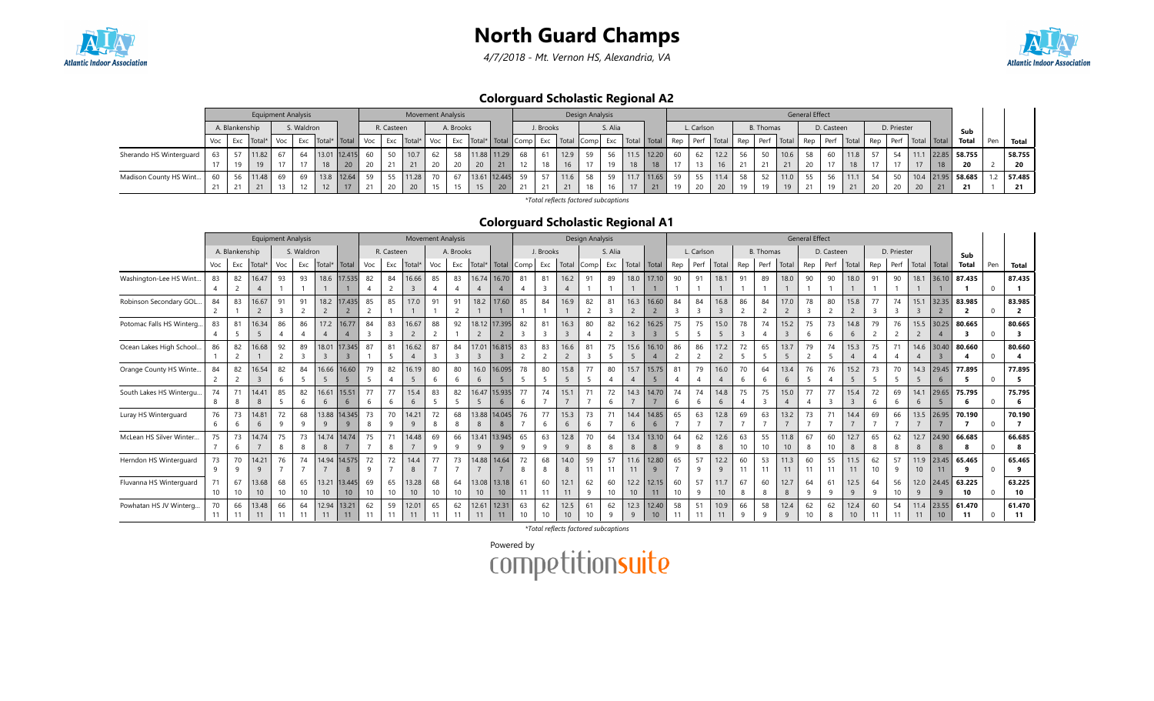

4/7/2018 - Mt. Vernon HS, Alexandria, VA



#### Colorguard Scholastic Regional A2

|                         | <b>Equipment Analysis</b><br>S. Waldron<br>A. Blankenship |  |            |     |    |      |                      |     |            | <b>Movement Analysis</b> |     |           |    |                             |      |           |                                                | Design Analysis |         |      |       |    |            |                    |    |                  |                                  | <b>General Effect</b> |            |    |             |      |             |                     |     |        |
|-------------------------|-----------------------------------------------------------|--|------------|-----|----|------|----------------------|-----|------------|--------------------------|-----|-----------|----|-----------------------------|------|-----------|------------------------------------------------|-----------------|---------|------|-------|----|------------|--------------------|----|------------------|----------------------------------|-----------------------|------------|----|-------------|------|-------------|---------------------|-----|--------|
|                         |                                                           |  |            |     |    |      |                      |     | R. Casteen |                          |     | A. Brooks |    |                             |      | J. Brooks |                                                |                 | S. Alia |      |       |    | L. Carlson |                    |    | <b>B.</b> Thomas |                                  |                       | D. Casteen |    | D. Priester |      |             | Sub                 |     |        |
|                         | Voc                                                       |  | Exc Total* | Voc |    |      | Exc   Total*   Total | Voc | Exc        | $\sim$ Total*            | Voc |           |    | Exc   Total*   Total   Comp |      |           | Exc   Total   Comp   Exc   Total   Total   Rep |                 |         |      |       |    |            | Perf   Total   Rep |    | Perf             | Total   Rep   Perf   Total   Rep |                       |            |    | Perf        |      | Total Total | Total               | Pen | Total  |
| Sherando HS Winterguard |                                                           |  | 11.82      |     | 64 |      | 13.01 12.415         | 60  | 50         |                          | 62  |           |    | 11.88 11.29                 | 68   | 61        | 12.9                                           | 59              | 56      | 11.5 | 12.20 | 60 | 62         | 12.2               | 56 |                  | 10.6                             | 58                    | 60         |    | 54          | 11.1 |             | 22.85 58.755        |     | 58.755 |
|                         |                                                           |  | 19         |     |    | 18   |                      |     |            | 21                       |     |           | 20 | 21                          | 12   |           |                                                |                 |         | 18   |       |    |            |                    |    |                  | 21                               |                       |            |    |             |      |             | 20                  |     | 20     |
| Madison County HS Wint  | 60                                                        |  | 11.48      | 69  | 69 | 13.8 | 12.64                | 59  |            | 11.28                    |     |           |    | 13.61 12.445                | 59 l | 57        | 11.6                                           | 58              | 59      |      | 11.65 | 59 | 55         | 11.4               | 58 |                  | 11.0                             | 55                    |            |    | 50          |      |             | $10.4$ 21.95 58.685 |     | 57.485 |
|                         |                                                           |  | 21         | 13  |    | 12   |                      |     | 20         | 20 <sup>°</sup>          |     |           | 15 | 20                          |      | 21        | 21                                             | 18              | 16      | 17   |       | 10 | 20         | 20 <sup>°</sup>    | 19 | 19               |                                  | 21                    |            | 20 |             | 20   | 21          | 21                  |     | 21     |

\*Total reflects factored subcaptions

#### Colorguard Scholastic Regional A1

|                           |                |                | <b>Equipment Analysis</b> |     |            |                |                |                |                | <b>Movement Analysis</b> |     |           |                         |                        |                |                         |                 | Design Analysis |                |                |                |                |                |                 |      |                  |                | <b>General Effect</b> |                 |                 |      |             |                |                 |                |              |                |
|---------------------------|----------------|----------------|---------------------------|-----|------------|----------------|----------------|----------------|----------------|--------------------------|-----|-----------|-------------------------|------------------------|----------------|-------------------------|-----------------|-----------------|----------------|----------------|----------------|----------------|----------------|-----------------|------|------------------|----------------|-----------------------|-----------------|-----------------|------|-------------|----------------|-----------------|----------------|--------------|----------------|
|                           |                | A. Blankenship |                           |     | S. Waldron |                |                |                | R. Casteen     |                          |     | A. Brooks |                         |                        |                | J. Brooks               |                 |                 | S. Alia        |                |                |                | L. Carlson     |                 |      | <b>B.</b> Thomas |                |                       | D. Casteen      |                 |      | D. Priester |                |                 | Sub            |              |                |
|                           | Voc            | Exc            | Total*                    | Exc | Total*     | Total          | Voc            | Exc            | Total*         | Voc                      | Exc | Total*    | Total                   | Comp                   | Exc            | Total                   | Comp            | Exc             | Total          | Total          | Rep            | Perf           | Total          | Rep             | Perf | Total            | Rep            | Perf                  | Total           | Rep             | Perf | Total       | Total          | <b>Total</b>    | Pen            | <b>Total</b> |                |
| Washington-Lee HS Wint    | 83             | 82             | 16.47                     | 93  | 93         |                | 18.6 17.535    | 82             | 84             | 16.66                    | 85  | 83        | 16.74                   | 16.70                  | 81             | 81                      | 16.2            | 91              | 89             | 18.0           | 17.10          | 90             | 91             | 18.1            | 91   | 89               | 18.0           | 90                    | 90              | 18.0            | 91   | 90          | 18.1           | 36.10           | 87.435         |              | 87.435         |
|                           |                |                |                           |     |            |                |                | $\overline{A}$ |                | 3                        |     |           |                         | $\boldsymbol{\Lambda}$ | 4              | $\overline{\mathbf{3}}$ | $\overline{4}$  |                 |                |                |                |                |                |                 |      |                  |                |                       |                 |                 |      |             |                |                 |                | $\Omega$     |                |
| Robinson Secondary GOL    | 84             | 83             | 16.67                     | 91  | 91         | 18.2           | 17,435         | 85             | 85             | 17.0                     | 91  | 91        | 18.2                    | 17.60                  | 85             | 84                      | 16.9            | 82              | 81             | 16.3           | 16.60          | 84             | 84             | 16.8            | 86   | 84               | 17.0           | 78                    | 80              | 15.8            | 77   | 74          | 15.1           | 32.35           | 83.985         |              | 83.985         |
|                           | $\overline{2}$ |                |                           |     |            | $\overline{2}$ | $\overline{2}$ | $\overline{2}$ |                |                          |     |           |                         |                        |                |                         |                 | 2               | $\overline{3}$ | $\overline{c}$ | $\overline{2}$ | 3              | 3              | $\overline{3}$  | 2    | $\overline{2}$   | $\overline{2}$ | 3                     |                 | $\overline{2}$  | 3    | 3           | $\overline{3}$ | $\overline{2}$  | $\overline{2}$ | $\Omega$     | $\overline{2}$ |
| Potomac Falls HS Winterg. | 83             | 81             | 16.34                     | 86  | 86         | 17.2           | 16.77          | 84             | 83             | 16.67                    | 88  | 92        | 18.12                   | 17.395                 | 82             | 81                      | 16.3            | 80              | 82             | 16.2           | 16.25          | 75             | 75             | 15.0            | 78   | 74               | 15.2           | 75                    | 73              | 14.8            | 79   | 76          | 15.5           | 30.25           | 80.665         |              | 80.665         |
|                           |                | 5              |                           |     |            |                |                |                | 3              | $\overline{2}$           |     |           | $\overline{2}$          |                        | 3              | $\overline{3}$          | $\overline{3}$  |                 |                | $\overline{3}$ |                |                |                | 5               |      |                  | $\overline{3}$ | 6                     | 6               | 6               |      |             | $\overline{2}$ | $\overline{4}$  | 3              | $\Omega$     | -3             |
| Ocean Lakes High School.  | 86             | 82             | 16.68                     | 92  | 89         | 18.01          | 17.345         | 87             | 81             | 16.62                    | 87  | 84        | 17.01                   | 16.815                 | 83             | 83                      | 16.6            | 81              | 75             | 15.6           | 16.10          | 86             | 86             | 17.2            | 72   | 65               | 13.7           | 79                    | 74              | 15.3            | 75   | 71          | 14.6           | 30.40           | 80.660         |              | 80.660         |
|                           |                | $\overline{c}$ |                           |     |            |                | $\rightarrow$  |                | 5              | $\overline{4}$           |     |           | $\overline{\mathbf{3}}$ | $\overline{3}$         | $\overline{2}$ | $\overline{2}$          | $\overline{2}$  |                 |                | 5              | $\overline{A}$ | $\overline{2}$ |                | $\overline{2}$  |      |                  | 5              | 2                     |                 |                 |      |             | $\overline{A}$ | $\overline{3}$  | Δ              | $\Omega$     |                |
| Orange County HS Winte    | 84             | 82             | 16.54                     | 82  | 84         | 16.66          | 16.60          | 79             | 82             | 16.19                    | 80  | 80        | 16.0                    | 16.095                 | 78             | 80                      | 15.8            | 77              | 80             | 15.7           | 15.75          | 81             | 79             | 16.0            | 70   | 64               | 13.4           | 76                    | 76              | 15.2            | 73   | 70          | 14.3           | 29.45           | 77.895         |              | 77.895         |
|                           | $\overline{2}$ | $\overline{2}$ | $\overline{3}$            | -6  | 5          | -5             | -5             | -5             | $\overline{A}$ | 5                        | 6   | -6        | 6                       | 5                      | - 5            | 5                       | 5 <sup>5</sup>  | -5              |                | $\overline{4}$ | 5              | $\overline{4}$ | $\overline{A}$ | $\overline{4}$  | 6    | 6                | 6              | -5                    |                 | 5               | .5   |             | -5             | 6               | -5.            | $\Omega$     | - 5            |
| South Lakes HS Wintergu.  | 74             | 71             | 14.41                     | 85  | 82         | 16.61          | 15.51          | 77             | 77             | 15.4                     | 83  | 82        | 16.47                   | 15.935                 | 77             | 74                      | 15.1            | 71              | 72             | 14.3           | 14.70          | 74             | 74             | 14.8            | 75   | 75               | 15.0           | 77                    | 77              | 15.4            | 72   | 69          | 14.1           | 29.65           | 75.795         |              | 75.795         |
|                           | 8              | 8              | 8                         | -5  | 6          | 6              | 6              | 6              | 6              | 6                        | 5   | 5         | 5                       | 6                      | 6              |                         | $\overline{7}$  |                 | 6              |                |                | 6              | 6              | 6               | 4    | $\overline{3}$   | $\overline{4}$ | $\overline{A}$        | 3               | $\overline{3}$  | 6    | 6           | 6              | 5               | -6             | $\mathbf{0}$ | - 6            |
| Luray HS Winterguard      | 76             | 73             | 14.81                     | 72  | 68         |                | 13.88 14.345   | 73             | 70             | 14.21                    | 72  | 68        | 13.88                   | 14.045                 | 76             | 77                      | 15.3            | 73              |                | 14.4           | 14.85          | 65             | 63             | 12.8            | 69   | 63               | 13.2           | 73                    | 71              | 14.4            | 69   | 66          | 13.5           | 26.95           | 70.190         |              | 70.190         |
|                           | 6              | 6              | 6                         | -9  | $\alpha$   | 9              | 9              | 8              | 9              | 9                        | 8   | 8         | 8                       | 8                      |                | 6                       | 6               | -6              |                | 6              | 6              |                |                |                 |      |                  |                |                       |                 |                 |      |             |                |                 | $\overline{7}$ | $\mathbf{0}$ |                |
| McLean HS Silver Winter   | 75             | 73             | 14.74                     | 75  | 73         | 14.74          | 14.74          | 75             | 71             | 14.48                    | 69  | 66        | 13.41                   | 13.945                 | 65             | 63                      | 12.8            | 70              | 64             | 13.4           | 13.10          | 64             | 62             | 12.6            | 63   | 55               | 11.8           | 67                    | 60              | 12.7            | 65   | 62          | 12.7           | 24.90           | 66.685         |              | 66.685         |
|                           |                | 6              |                           |     | 8          | 8              |                |                | 8              |                          | 9   | a         | 9                       | 9                      | 9              | 9                       | 9               | 8               | 8              | 8              | 8              | 9              |                | 8               | 10   | 10               | 10             | 8                     | 10 <sup>°</sup> | 8               | 8    | 8           | 8              | 8               | -8             | $\Omega$     |                |
| Herndon HS Winterquard    | 73             | 70             | 14.21                     | 76  | 74         | 14.94          | 4.575          | 72             | 72             | 14.4                     | 77  | 73        | 14.88                   | 14.64                  | 72             | 68                      | 14.0            | 59              | 57             | 11.6           | 12.80          | 65             | 57             | 12.2            | 60   | 53               | 11.3           | 60                    | 55              | 11.5            | 62   | 57          | 11.9           | 23.45           | 65.465         |              | 65.465         |
|                           | 9              | q              |                           |     |            |                | 8              | 9              |                | 8                        |     |           |                         |                        | 8              | 8                       | 8               | 11              | 11             | 11             | 9              |                | q              | 9               | 11   | 11               | 11             | 11                    | 11              | 11              | 10   | q           | 10             | 11              | $\alpha$       | $\Omega$     | 9              |
| Fluvanna HS Winterquard   | 71             | 67             | 13.68                     | 68  | 65         | 13.21          | 13.445         | 69             | 65             | 13.28                    | 68  | 64        | 13.08                   | 13.18                  | 61             | 60                      | 12.1            | 62              | 60             | 12.2           | 12.15          | 60             | 57             | 11.7            | 67   | 60               | 12.7           | 64                    | 61              | 12.5            | 64   | 56          | 12.0           | 24.45           | 63.225         |              | 63.225         |
|                           | 10             | 10             | 10 <sup>1</sup>           | 10  | 10         | 10             | 10             | 10             | 10             | 10 <sup>10</sup>         | 10  | 10        | 10                      | 10                     | 11             | 11                      | 11              | 9               | 10             | 10             | 11             | 10             | 9              | 10 <sup>°</sup> | 8    | 8                | 8              | 9                     | 9               | 9               | 9    | 10          | 9              | 9               | 10             | $\Omega$     | 10             |
| Powhatan HS JV Winterg    | 70             | 66             | 13.48                     | 66  | 64         | 12.94          | 13.21          | 62             | 59             | 12.01                    | 65  | 62        | 12.61                   | 12.31                  | 63             | 62                      | 12.5            | 61              | 62             | 12.3           | 12.40          | 58             | 51             | 10.9            | 66   | 58               | 12.4           | 62                    | 62              | 12.4            | 60   | 54          | 11.4           | 23.55           | 61.470         |              | 61.470         |
|                           | 11             | 11             | 11                        | 11  | 11         | 11             | 11             | 11             | 11             | 11                       | 11  | 11        | 11                      | 11                     | 10             | 10                      | 10 <sup>°</sup> | 10              | $\mathbf{Q}$   | $\mathsf{q}$   | 10             | 11             |                | 11              | q    | <sub>q</sub>     | $\mathsf{q}$   |                       | 8               | 10 <sup>°</sup> | 11   | 11          | 11             | 10 <sup>°</sup> | 11             | $\Omega$     | 11             |

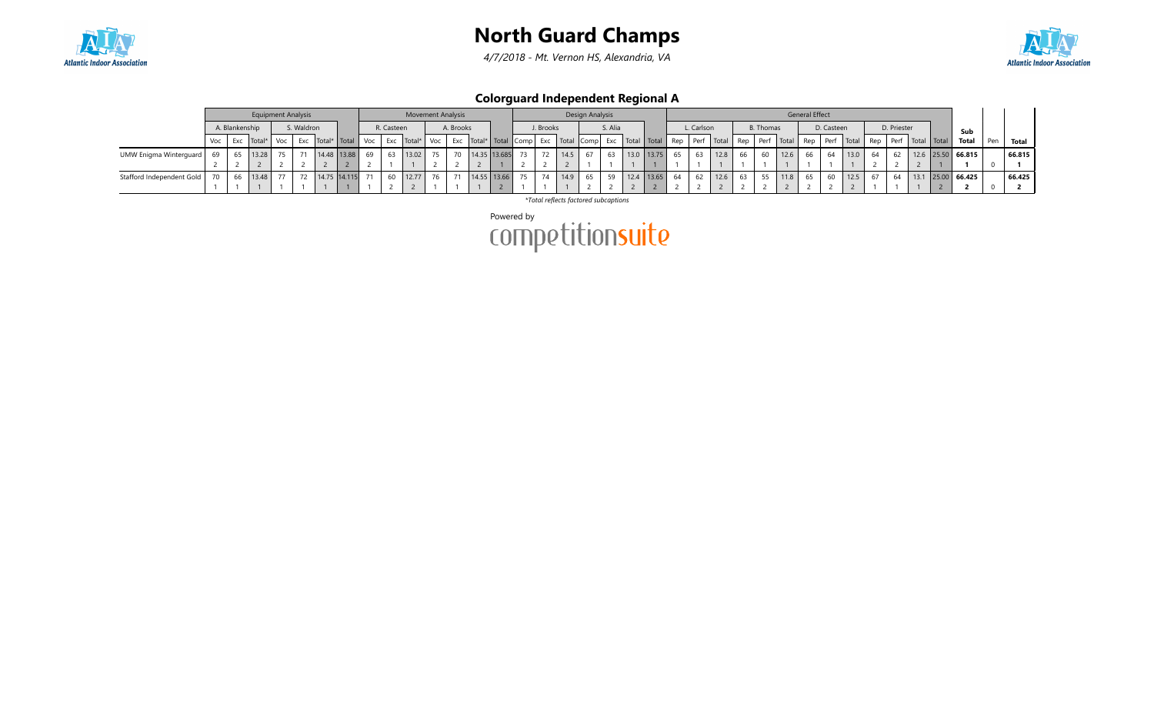

4/7/2018 - Mt. Vernon HS, Alexandria, VA



Colorguard Independent Regional A

|                           | <b>Equipment Analysis</b><br>S. Waldron<br>A. Blankenship |  |            |     |  |  |                            |    |            | <b>Movement Analysis</b> |     |           |                             |      |           |      | Design Analysis |         |                                  |     |              |      |    |                  |                | General Effect |            |      |    |             |                                           |                     |     |        |
|---------------------------|-----------------------------------------------------------|--|------------|-----|--|--|----------------------------|----|------------|--------------------------|-----|-----------|-----------------------------|------|-----------|------|-----------------|---------|----------------------------------|-----|--------------|------|----|------------------|----------------|----------------|------------|------|----|-------------|-------------------------------------------|---------------------|-----|--------|
|                           |                                                           |  |            |     |  |  |                            |    | R. Casteen |                          |     | A. Brooks |                             |      | J. Brooks |      |                 | S. Alia |                                  |     | L. Carlson   |      |    | <b>B.</b> Thomas |                |                | D. Casteen |      |    | D. Priester |                                           | Sub                 |     |        |
|                           | Voc                                                       |  | Exc Total* | Voc |  |  | Exc   Total*   Total   Voc |    |            | Exc Total*               | Voc |           | Exc   Total*   Total   Comp |      | Exc       |      |                 |         | Total Comp   Exc   Total   Total | Rep | Perf   Total |      |    |                  | Rep Perf Total | Rep            |            |      |    |             | Perf   Total   Rep   Perf   Total   Total | Total               | Pen | Total  |
| UMW Enigma Winterguard    |                                                           |  | 13.28      | 75  |  |  | 14.48 13.88                | 69 | 63         | 13.02                    | 75  | 70        | 14.35 13.685                | 73 I |           | 14.5 | 67              | 63      | 13.0 13.75                       | 65  | 63           | 12.8 | 66 | $\epsilon$       | 12.6           | 66             | 64         | 13.0 | 64 |             |                                           | $12.6$ 25.50 66.815 |     | 66.815 |
|                           |                                                           |  |            |     |  |  |                            |    |            |                          |     |           |                             |      |           |      |                 |         |                                  |     |              |      |    |                  |                |                |            |      |    |             |                                           |                     |     |        |
| Stafford Independent Gold |                                                           |  | 13.48      | 77  |  |  | 72 14.75 14.115            |    | 60         | 12.77                    |     | 71        | 14.55 13.66                 | 75   |           | 14.9 | 65              | 59      | 12.4   13.65                     | 64  | 62           | 12.6 |    |                  | 11.8           | 65             |            | 12.5 |    | 64          |                                           | $13.1$ 25.00 66.425 |     | 66.425 |
|                           |                                                           |  |            |     |  |  |                            |    |            |                          |     |           |                             |      |           |      |                 |         |                                  |     |              |      |    |                  |                |                |            |      |    |             |                                           |                     |     |        |

\*Total reflects factored subcaptions

Powered by<br>COMPetitionsuite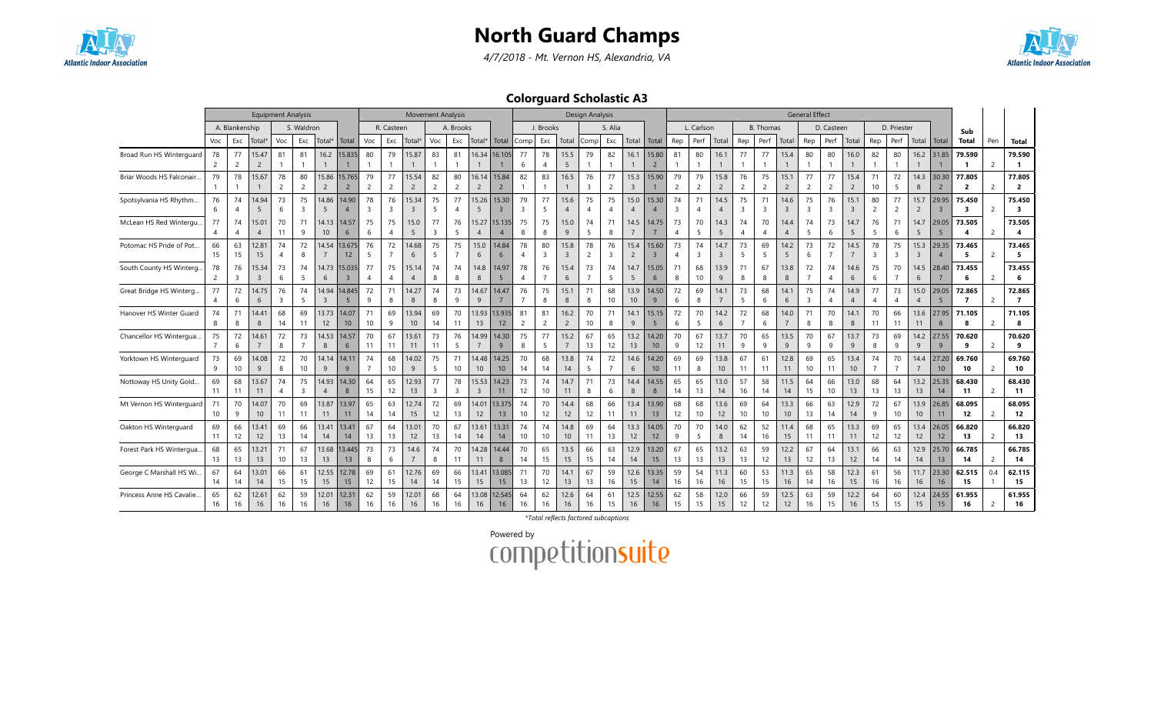

4/7/2018 - Mt. Vernon HS, Alexandria, VA



Colorguard Scholastic A3

|                           |                       |                               | <b>Equipment Analysis</b> |                      |                      |                           |                          |                      |                               | <b>Movement Analysis</b> |                      |           |                         |                           |                               |                               |                        | <b>Design Analysis</b> |                       |                         |                         |                      |                      |                        |                      |                  |                         | <b>General Effect</b> |                               |                        |                      |                      |                        |                          |                          |                |                                   |
|---------------------------|-----------------------|-------------------------------|---------------------------|----------------------|----------------------|---------------------------|--------------------------|----------------------|-------------------------------|--------------------------|----------------------|-----------|-------------------------|---------------------------|-------------------------------|-------------------------------|------------------------|------------------------|-----------------------|-------------------------|-------------------------|----------------------|----------------------|------------------------|----------------------|------------------|-------------------------|-----------------------|-------------------------------|------------------------|----------------------|----------------------|------------------------|--------------------------|--------------------------|----------------|-----------------------------------|
|                           |                       | A. Blankenship                |                           |                      | S. Waldron           |                           |                          |                      | R. Casteen                    |                          |                      | A. Brooks |                         |                           |                               | J. Brooks                     |                        |                        | S. Alia               |                         |                         |                      | L. Carlson           |                        |                      | <b>B.</b> Thomas |                         |                       | D. Casteen                    |                        |                      | D. Priester          |                        |                          | Sub                      |                |                                   |
|                           | Voc                   | Exc                           | Total                     | Voc                  | Exc                  | Total <sup>*</sup>        | Total                    | Voc                  | Exc                           | Total*                   | Voc                  | Exc       | Total*                  | Total                     | Comp                          | Exc                           | Total                  | Comp                   | Exc                   | Total                   | Total                   | Rep                  | Perf                 | Total                  | Rep                  | Perf             | Total                   | Rep                   | Perf                          | Total                  | Rep                  | Perf                 | Total                  | l Total                  | <b>Total</b>             | Pen            | <b>Total</b>                      |
| Broad Run HS Winterguard  | 78<br>2               | 77<br>$\overline{2}$          | 15.47<br>$\overline{2}$   | 81                   | 81                   | 16.2                      | 15.835                   | 80                   | 79                            | 15.87                    | 83                   | 81        | 16.34                   | 16.105                    | 77<br>6                       | 78<br>$\overline{4}$          | 15.5<br>5              | 79                     | 82                    | 16.1                    | 15.80<br>$\overline{2}$ | 81                   | 80                   | 16.1                   | 77                   | 77               | 15.4                    | 80                    | 80                            | 16.0                   | 82                   | 80                   |                        | 16.2 31.85               | 79.590                   | $\overline{2}$ | 79.590<br>$\mathbf{1}$            |
| Briar Woods HS Falconair  | 79                    | 78                            | 15.67                     | 78<br>$\overline{2}$ | 80<br>$\overline{2}$ | 15.86<br>$\overline{c}$   | 15.765<br>$\overline{2}$ | 79<br>$\overline{2}$ | 77<br>$\overline{2}$          | 15.54<br>$\overline{2}$  | 82<br>$\overline{c}$ | 80<br>2   | 16.14<br>$\overline{2}$ | 15.84<br>$\overline{2}$   | 82                            | 83                            | 16.5<br>$\mathbf{1}$   | 76<br>$\overline{3}$   | 77<br>2               | 15.3<br>$\overline{3}$  | 15.90                   | 79<br>$\overline{c}$ | 79<br>$\overline{c}$ | 15.8<br>$\overline{2}$ | 76<br>$\overline{c}$ | 75<br>2          | 15.1<br>$\overline{2}$  | 77<br>$\overline{2}$  | 77<br>$\overline{2}$          | 15.4<br>$\overline{2}$ | 71<br>10             | 72<br>5              | 14.3<br>8              | 30.30<br>$\overline{2}$  | 77.805<br>$\overline{2}$ | $\overline{2}$ | 77.805<br>$\overline{2}$          |
| Spotsylvania HS Rhythm    | 76<br>6               | 74<br>$\overline{4}$          | 14.94<br>5                | 73<br>6              | 75<br>3              | 14.86<br>5                | 14.90<br>$\overline{4}$  | 78<br>$\overline{3}$ | 76<br>$\overline{\mathbf{3}}$ | 15.34<br>3               | 75<br>5              | 77        | 15.26<br>-5             | 15.30<br>$\overline{3}$   | 79<br>$\overline{\mathbf{3}}$ | 77<br>5                       | 15.6<br>$\overline{4}$ | 75<br>$\overline{4}$   | 75                    | 15.0<br>$\overline{4}$  | 15.30<br>$\overline{4}$ | 74<br>3              | 71<br>$\overline{4}$ | 14.5<br>$\overline{4}$ | 75<br>$\overline{3}$ | 71<br>3          | 14.6<br>$\overline{3}$  | 75<br>$\overline{3}$  | 76<br>$\overline{\mathbf{3}}$ | 15.1<br>$\overline{3}$ | 80<br>$\overline{2}$ | 77<br>$\overline{2}$ | 15.7<br>$\overline{2}$ | 29.95<br>$\overline{3}$  | 75.450<br>3              | 2              | 75.450<br>$\overline{\mathbf{3}}$ |
| McLean HS Red Wintergu.   | 77                    | 74<br>$\overline{4}$          | 15.01<br>$\overline{4}$   | 70<br>11             | 71<br>9              | 14.13<br>10 <sup>10</sup> | 14.57<br>6               | 75<br>6              | 75                            | 15.0<br>5                | 77<br>$\overline{3}$ | 76<br>-5  | 15.27<br>$\overline{4}$ | 15.135<br>$\overline{4}$  | 75<br>8                       | 75<br>8                       | 15.0<br>9              | 74<br>-5               | 71<br>8               | 14.5                    | 14.75                   | 73<br>$\overline{4}$ | 70<br>-5             | 14.3<br>5              | 74<br>$\overline{4}$ | 70               | 14.4<br>$\overline{4}$  | 74<br>-5              | 73<br>6                       | 14.7<br>5              | 76<br>.5             | 71<br>6              | 14.7<br>-5             | 29.05<br>-5              | 73.505                   | 2              | 73.505<br>$\overline{\mathbf{4}}$ |
| Potomac HS Pride of Pot   | 66<br>15              | 63<br>15                      | 12.81<br>15               | 74                   | 72<br>8              | 14.54                     | 13.675<br>12             | 76<br>5              | 72                            | 14.68<br>6               | 75<br>5              | 75        | 15.0<br>6               | 14.84<br>6                | 78                            | 80<br>$\overline{\mathbf{3}}$ | 15.8<br>$\overline{3}$ | 78<br>2                | 76<br>3               | 15.4<br>$\overline{2}$  | 15.60<br>$\overline{3}$ | 73<br>$\overline{4}$ | 74<br>$\overline{3}$ | 14.7<br>3              | 73<br>5              | 69<br>5          | 14.2<br>5               | 73<br>6               | 72                            | 14.5                   | 78<br>$\overline{3}$ | 75<br>$\overline{3}$ | 15.3<br>$\overline{3}$ | 29.35<br>$\overline{A}$  | 73.465<br>-5             | 2              | 73.465<br>- 5                     |
| South County HS Winterg   | 78<br>$\overline{2}$  | 76<br>$\overline{\mathbf{3}}$ | 15.34<br>3                | 73<br>6              | 74<br>5              | 14.73<br>6                | 15.035<br>$\overline{3}$ | 77                   | 75<br>$\overline{4}$          | 15.14<br>$\overline{4}$  | 74<br>8              | 74<br>8   | 14.8<br>8               | 14.97<br>5                | 78<br>$\overline{4}$          | 76                            | 15.4<br>6              | 73<br>$\overline{7}$   | 74<br>$\overline{5}$  | 14.7<br>5               | 15.05<br>6              | 71<br>8              | 68<br>10             | 13.9<br>9              | 71<br>8              | 67<br>8          | 13.8<br>8               | 72                    | 74<br>4                       | 14.6<br>6              | 75<br>6              | 70                   | 14.5<br>6              | 28.40                    | 73.455<br>6              | 2              | 73.455<br>6                       |
| Great Bridge HS Winterg   | 77<br>4               | 72<br>6                       | 14.75<br>6                | 76<br>$\overline{3}$ | 74<br>5              | 14.94<br>$\overline{3}$   | 14.845<br>5              | 72<br>9              | 71<br>8                       | 14.27<br>8               | 74<br>8              | 73<br>9   | 14.67<br>9              | 14.47                     | 76<br>$\overline{7}$          | 75<br>8                       | 15.1<br>8              | 71<br>8                | 68<br>10 <sup>°</sup> | 13.9<br>10 <sup>°</sup> | 14.50<br>9              | 72<br>6              | 69<br>8              | 14.1                   | 73<br>5              | 68<br>6          | 14.1<br>6               | 75<br>3               | 74<br>4                       | 14.9<br>$\overline{4}$ | 77<br>$\overline{4}$ | 73<br>$\overline{4}$ | 15.0<br>$\overline{4}$ | 29.05<br>5               | 72.865<br>7              | $\overline{2}$ | 72.865<br>$\overline{7}$          |
| Hanover HS Winter Guard   | 74<br>8               | 71<br>8                       | 14.41<br>8                | 68<br>14             | 69<br>11             | 13.73<br>12               | 14.07<br>10              | 71<br>10             | 69<br>9                       | 13.94<br>10              | 69<br>14             | 70<br>11  | 13.93<br>13             | 13.935<br>12              | 81<br>$\overline{2}$          | 81<br>$\overline{c}$          | 16.2<br>$\overline{2}$ | 70<br>10               | 71<br>8               | 14.1<br>9               | 15.15<br>5              | 72<br>6              | 70<br>5              | 14.2<br>6              | 72<br>$\overline{7}$ | 68<br>6          | 14.0<br>$\overline{7}$  | 71<br>8               | 70<br>8                       | 14.7<br>8              | 70<br>11             | 66<br>11             | 13.6<br>11             | 27.95<br>8               | 71.105<br>8              | $\overline{2}$ | 71.105<br>8                       |
| Chancellor HS Wintergua   | 75                    | 72<br>6                       | 14.61                     | 72<br>8              | 73                   | 14.53<br>8                | 14.57<br>6               | 70<br>11             | 67<br>11                      | 13.61<br>11              | 73<br>11             | 76<br>5   | 14.99                   | 14.30<br>9                | 75<br>8                       | 77<br>5                       | 15.2<br>$\overline{7}$ | 67<br>13               | 65<br>12              | 13.2<br>13              | 14.20<br>10             | 70<br>9              | 67<br>12             | 13.7<br>11             | 70<br>9              | 65<br>9          | 13.5<br>9               | 70<br>$\mathsf{q}$    | 67<br>9                       | 13.7<br>9              | 73<br>8              | 69<br>9              | 14.2<br>9              | 27.55<br>9               | 70.620<br>9              | 2              | 70.620<br>9                       |
| Yorktown HS Winterquard   | 73<br>9               | 69<br>10                      | 14.08<br>9                | 72<br>8              | 70<br>10             | 14.14<br>9                | 14.11<br>9               | 74<br>$\overline{7}$ | 68<br>10                      | 14.02<br>9               | 75<br>5              | 71<br>10  | 14.48<br>10             | 14.25<br>10 <sup>10</sup> | 70<br>14                      | 68<br>14                      | 13.8<br>14             | 74<br>-5               | 72                    | 14.6<br>6               | 14.20<br>10             | 69<br>11             | 69<br>8              | 13.8<br>10             | 67<br>11             | 61<br>11         | 12.8<br>11              | 69<br>10              | 65<br>11                      | 13.4<br>10             | 74                   | 70                   | 14.4                   | 27.20<br>10 <sup>°</sup> | 69.760<br>10             | 2              | 69.760<br>10                      |
| Nottoway HS Unity Gold    | 69<br>11              | 68<br>11                      | 13.67<br>11               | 74                   | 75<br>3              | 14.93<br>$\overline{4}$   | 14.30<br>8               | 64<br>15             | 65<br>12                      | 12.93<br>13              | 77<br>$\overline{3}$ | 78<br>3   | 15.53<br>$\overline{3}$ | 14.23<br>11               | 73<br>12                      | 74<br>10                      | 14.7<br>11             | 71<br>8                | 73<br>6               | 14.4<br>8               | 14.55                   | 65<br>14             | 65<br>13             | 13.0<br>14             | 57<br>16             | 58<br>14         | 11.5<br>14              | 64<br>15              | 66<br>10                      | 13.0<br>13             | 68<br>13             | 64<br>13             | 13.2<br>13             | 25.35<br>14              | 68.430<br>11             | $\overline{2}$ | 68.430<br>11                      |
| Mt Vernon HS Winterquard  | 71<br>10 <sup>°</sup> | 70<br>9                       | 14.07<br>10               | 70<br>11             | 69<br>11             | 13.87<br>11               | 13.97<br>11              | 65<br>14             | 63<br>14                      | 12.74<br>15              | 72<br>12             | 69<br>13  | 14.01<br>12             | 13.375<br>13              | 74<br>10                      | 70<br>12                      | 14.4<br>12             | 68<br>12               | 66<br>11              | 13.4<br>11              | 13.90<br>13             | 68<br>12             | 68<br>10             | 13.6<br>12             | 69<br>10             | 64<br>10         | 13.3<br>10 <sup>°</sup> | 66<br>13              | 63<br>14                      | 12.9<br>14             | 72<br>9              | 67<br>10             | 13.9<br>10             | 26.85<br>11              | 68.095<br>12             | $\overline{c}$ | 68.095<br>12                      |
| Oakton HS Winterguard     | 69<br>11              | 66<br>12                      | 13.41<br>12               | 69<br>13             | 66<br>14             | 13.41<br>14               | 13.41<br>14              | 67<br>13             | 64<br>13                      | 13.01<br>12              | 70<br>13             | 67<br>14  | 13.61<br>14             | 13.31<br>14               | 74<br>10                      | 74<br>10                      | 14.8<br>10             | 69<br>11               | 64<br>13              | 13.3<br>12              | 14.05<br>12             | 70<br>9              | 70<br>5              | 14.0<br>8              | 62<br>14             | 52<br>16         | 11.4<br>15              | 68<br>11              | 65<br>11                      | 13.3<br>11             | 69<br>12             | 65<br>12             | 13.4<br>12             | 26.05<br>12              | 66.820<br>13             | $\overline{2}$ | 66.820<br>13                      |
| Forest Park HS Wintergua  | 68<br>13              | 65<br>13                      | 13.21<br>13               | 71<br>10             | 67<br>13             | 13.68<br>13               | 13.445<br>13             | 73<br>8              | 73<br>6                       | 14.6                     | 74<br>8              | 70<br>11  | 14.28<br>11             | 14.44<br>8                | 70<br>14                      | 65<br>15                      | 13.5<br>15             | 66<br>15               | 63<br>14              | 12.9<br>14              | 13.20<br>15             | 67<br>13             | 65<br>13             | 13.2<br>13             | 63<br>13             | 59<br>12         | 12.2<br>13              | 67<br>12              | 64<br>13                      | 13.1<br>12             | 66<br>14             | 63<br>14             | 12.9<br>14             | 25.70<br>13              | 66.785<br>14             | 2              | 66.785<br>14                      |
| George C Marshall HS Wi.  | 67<br>14              | 64<br>14                      | 13.01<br>14               | 66<br>15             | 61<br>15             | 12.55<br>15               | 12.78<br>15              | 69<br>12             | 61<br>15                      | 12.76<br>14              | 69<br>14             | 66<br>15  | 13.41<br>15             | 13.085<br>15              | 71<br>13                      | 70<br>12                      | 14.1<br>13             | 67<br>13               | 59<br>16              | 12.6<br>15              | 13.35<br>14             | 59<br>16             | 54<br>16             | 11.3<br>16             | 60<br>15             | 53<br>15         | 11.3<br>16              | 65<br>14              | 58<br>16                      | 12.3<br>15             | 61<br>16             | 56<br>16             | 11.7<br>16             | 23.30<br>16              | 62.515<br>15             | 0.4            | 62.115<br>15                      |
| Princess Anne HS Cavalie. | 65<br>16              | 62<br>16                      | 12.61<br>16               | 62<br>16             | 59<br>16             | 12.01<br>16               | 12.31<br>16              | 62<br>16             | 59<br>16                      | 12.01<br>16              | 68<br>16             | 64<br>16  | 13.08<br>16             | 12.545<br>16              | 64<br>16                      | 62<br>16                      | 12.6<br>16             | 64<br>16               | 61<br>15              | 12.5<br>16              | 12.55<br>16             | 62<br>15             | 58<br>15             | 12.0<br>15             | 66<br>12             | 59<br>12         | 12.5<br>12              | 63<br>16              | 59<br>15                      | 12.2<br>16             | 64<br>15             | 60<br>15             | 12.4<br>15             | 24.55<br>15              | 61.955<br>16             | $\overline{2}$ | 61.955<br>16                      |

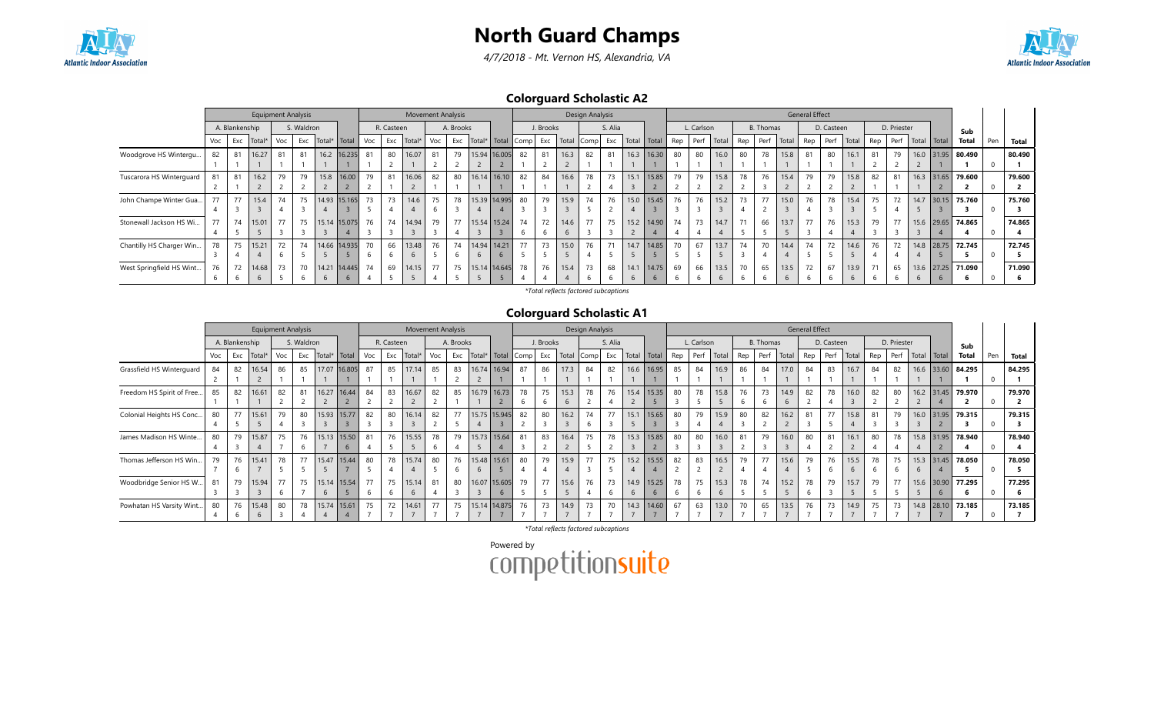





Colorguard Scholastic A2

|                          |     |                | <b>Equipment Analysis</b> |     |            |                |                 |     |            | <b>Movement Analysis</b> |     |           |               |                       |    |           |       | Design Analysis |         |               |                |          |            |       |     |                  |       | <b>General Effect</b> |            |       |     |             |      |              |              |     |        |
|--------------------------|-----|----------------|---------------------------|-----|------------|----------------|-----------------|-----|------------|--------------------------|-----|-----------|---------------|-----------------------|----|-----------|-------|-----------------|---------|---------------|----------------|----------|------------|-------|-----|------------------|-------|-----------------------|------------|-------|-----|-------------|------|--------------|--------------|-----|--------|
|                          |     | A. Blankenship |                           |     | S. Waldron |                |                 |     | R. Casteen |                          |     | A. Brooks |               |                       |    | J. Brooks |       |                 | S. Alia |               |                |          | L. Carlson |       |     | <b>B.</b> Thomas |       |                       | D. Casteen |       |     | D. Priester |      |              | Sub          |     |        |
|                          | Voc | Exc            | Total <sup>®</sup>        | Voc | Exc        | Total*   Total |                 | Voc | Exc        | Total*                   | Voc | Exc       |               | Total*   Total   Comp |    | Exc       | Total | Comp            | Exc     | Total   Total |                | Rep Perf |            | Total | Rep | Perf             | Total | Rep                   | Perf       | Total | Rep | Perf        |      | Total Total  | <b>Total</b> | Pen | Total  |
| Woodgrove HS Wintergu    | 82  | 81             | 16.27                     | 81  | 81         |                | 16.2 16.235     | 81  | 80         | 16.07                    |     | 79        |               | 15.94 16.005          | 82 | 81        | 16.3  | 82              | 81      |               | $16.3$   16.30 | 80       | 80         | 16.0  | 80  | 78               | 15.8  |                       | 80         | 16.1  |     | 79          |      | 16.0 31.95   | 80.490       |     | 80.490 |
|                          |     |                |                           |     |            |                |                 |     |            |                          |     |           |               |                       |    |           |       |                 |         |               |                |          |            |       |     |                  |       |                       |            |       |     |             |      |              |              |     |        |
| Tuscarora HS Winterguard |     | 81             | 16.2                      | 79  | 79         |                | 15.8 16.00      | 79  | 81         | 16.06                    | 82  | 80        |               | 16.14 16.10           | 82 | 84        | 16.6  | 78              | 73      | 15.1          | 15.85          | 79       | 79         | 15.8  | 78  | 76               | 15.4  | 79                    | 79         | 15.8  | 82  | 81          |      | $16.3$ 31.65 | 79.600       |     | 79.600 |
|                          |     |                |                           |     |            |                |                 |     |            |                          |     |           |               |                       |    |           |       |                 |         |               |                |          |            |       |     |                  |       |                       |            |       |     |             |      |              |              |     |        |
| John Champe Winter Gua   |     | 77             | 15.4                      | 74  | 75         |                | 14.93 15.165    | 73  | 73         | 14.6                     | 75  | 78        |               | 15.39 14.995          | 80 | 79        | 15.9  | 74              | 76      |               | 15.0   15.45   | 76       | 76         | 15.2  | 73  | 77               | 15.0  | 76                    | 78         | 15.4  | 75  | 72          | 14.7 | 30.15        | 75.760       |     | 75.760 |
|                          |     |                |                           |     |            |                |                 |     |            |                          |     |           |               |                       |    |           |       |                 |         |               |                |          |            |       |     |                  |       |                       |            |       |     |             |      |              |              |     |        |
| Stonewall Jackson HS Wi  | 77  | 74             | 15.01                     | 77  | 75         |                | 15.14 15.075    | 76  | 74         | 14.94                    | 79  | 77        |               | 15.54 15.24           | 74 | 72        | 14.6  | 77              | 75      |               | 15.2 14.90     | 74       | 73         | 14.7  | 71  | 66               | 13.7  | 77                    | 76         | 15.3  | 79  | 77          |      | 15.6 29.65   | 74.865       |     | 74.865 |
|                          |     |                |                           |     |            |                |                 |     |            |                          |     |           |               |                       |    |           |       |                 |         |               |                |          |            |       |     |                  |       |                       |            |       |     |             |      |              |              |     |        |
| Chantilly HS Charger Win | 78  | 75             | 15.21                     | 72  | 74         |                | 14.66 14.935    | 70  | 66         | 13.48                    | 76  | 74        |               | 14.94 14.21           | 77 | 73        | 15.0  | 76              |         | 14.7          | 14.85          | 70       | 67         | 13.7  | 74  | 70               | 14.4  | 74                    | 72         | 14.6  | 76  | 72          |      | 14.8 28.75   | 72.745       |     | 72.745 |
|                          |     |                |                           |     |            |                |                 |     |            | 6                        |     |           | $\mathfrak b$ |                       |    |           |       |                 |         |               |                |          |            |       |     |                  |       |                       |            |       |     |             |      |              |              |     |        |
| West Springfield HS Wint | 76  | 72             | 14.68                     | 73  | 70         |                | 14.21 14.445 74 |     | 69         | 14.15                    | 77  | 75        |               | 15.14 14.645          | 78 | 76        | 15.4  | 73              | 68      | 14.1          | 14.75          | 69       | 66         | 13.5  | 70  | 65               | 13.5  | 72                    | 67         | 13.9  |     | 65          |      | $13.6$ 27.25 | 71.090       |     | 71.090 |
|                          |     |                |                           |     |            |                |                 |     |            |                          |     |           |               |                       |    |           |       |                 |         |               |                |          |            |       |     |                  |       |                       |            |       |     |             | b    | $\mathbf{b}$ |              |     |        |

\*Total reflects factored subcaptions

#### Colorguard Scholastic A1

|                           |     |                | <b>Equipment Analysis</b> |     |            |        |             |     |            | <b>Movement Analysis</b> |     |           |        |                |      |           |       | Design Analysis |         |               |                |     |            |       |     |                  |               | <b>General Effect</b> |            |       |     |             |               |                   |     |        |
|---------------------------|-----|----------------|---------------------------|-----|------------|--------|-------------|-----|------------|--------------------------|-----|-----------|--------|----------------|------|-----------|-------|-----------------|---------|---------------|----------------|-----|------------|-------|-----|------------------|---------------|-----------------------|------------|-------|-----|-------------|---------------|-------------------|-----|--------|
|                           |     | A. Blankenship |                           |     | S. Waldron |        |             |     | R. Casteen |                          |     | A. Brooks |        |                |      | J. Brooks |       |                 | S. Alia |               |                |     | L. Carlson |       |     | <b>B.</b> Thomas |               |                       | D. Casteen |       |     | D. Priester |               | Sub               |     |        |
|                           | Voc | Exc            | Total                     | Voc | Exc        | Total* | Total       | Voc | Exc        | Total                    | Voc | Exc       | Total* | Total          | Comp | Exc       | Total | Comp            |         | Exc Total     | Total          | Rep | Perf       | Total | Rep | Perf             | Total         | Rep                   | Perf       | Total | Rep | Perf        | Total   Total | <b>Total</b>      | Pen | Total  |
| Grassfield HS Winterguard | 84  | 82             | 16.54                     | 86  | 85         | 17.07  | 16.805      | 87  | 85         | 17.14                    | 85  | 83        | 16.74  | 16.94          | 87   | 86        | 17.3  | 84              | 82      | 16.6          | 16.95          | 85  | 84         | 16.9  | 86  | 84               | 17.0          | 84                    | 83         | 16.7  | 84  | 82          | 16.6 33.60    | 84.295            |     | 84.295 |
|                           |     |                |                           |     |            |        |             |     |            |                          |     |           |        |                |      |           |       |                 |         |               |                |     |            |       |     |                  |               |                       |            |       |     |             |               |                   |     |        |
| Freedom HS Spirit of Free | 85  | 82             | 16.61                     | 82  | 81         |        | 16.27 16.44 | 84  | 83         | 16.67                    | 82  | 85        | 16.79  | 16.73          | 78   | 75        | 15.3  | 78              | 76      |               | $15.4$   15.35 | 80  | 78         | 15.8  | 76  | 73               | 14.9          | 82                    | 78         | 16.0  | 82  | 80          | 16.2 31.45    | 79.970            |     | 79.970 |
|                           |     |                |                           |     |            |        |             |     |            |                          |     |           |        |                |      |           | 6     |                 |         |               |                |     |            |       |     |                  |               |                       |            |       |     |             |               |                   |     |        |
| Colonial Heights HS Conc  | 80  | 77             | 15.61                     | 79  | 80         | 15.93  | 15.77       | 82  | 80         | 16.14                    | 82  | 77        |        | 15.75 15.945   | 82   | 80        | 16.2  | 74              | 77      | 15.1          | 15.65          | 80  | 79         | 15.9  | 80  | 82               | 16.2          | 81                    | 77         | 15.8  | 81  | 79          |               | 16.0 31.95 79.315 |     | 79.315 |
|                           |     |                |                           |     |            |        |             |     |            |                          |     |           |        |                |      |           |       |                 |         |               |                |     |            |       |     |                  |               |                       |            |       |     |             |               |                   |     |        |
| James Madison HS Winte    | 80  | 79             | 15.87                     | 75  | 76         | 15.13  | 15.50       | 81  | 76         | 15.55                    | 78  | 79        | 15.73  | 15.64          | 81   | 83        | 16.4  | 75              | 78      |               | 15.3   15.85   | 80  | 80         | 16.0  | 81  | 79               | 16.0          | 80                    | 81         | 16.1  | 80  | 78          | 15.8 31.95    | 78.940            |     | 78.940 |
|                           |     |                |                           |     |            |        |             |     |            |                          |     |           |        |                |      |           |       |                 |         |               |                |     |            |       |     |                  |               |                       |            |       |     |             |               |                   |     |        |
| Thomas Jefferson HS Win   | 79  | 76             | 15.41                     | 78  | 77         | 15.47  | 15.44       | 80  | 78         | 15.74                    | 80  | 76        |        | 15.48 15.61    | 80   | 79        | 15.9  | 77              | 75      |               | $15.2$   15.55 | 82  | 83         | 16.5  | 79  | 77               | 15.6          | 79                    | 76         | 15.5  | 78  | 75          |               | 15.3 31.45 78.050 |     | 78.050 |
|                           |     |                |                           |     |            |        |             |     |            |                          |     |           |        |                |      |           |       |                 |         |               |                |     |            |       |     |                  |               |                       | b          |       |     | b           |               |                   |     |        |
| Woodbridge Senior HS W    | 81  | 79             | 15.94                     | 77  | 75         | 15.14  | 15.54       | 77  | 75         | 15.14                    | 81  | 80        | 16.07  | 15.605         | 79   | 77        | 15.6  | 76              | 73      | 14.9          | 15.25          | 78  | 75         | 15.3  | 78  | 74               | 15.2          | 78                    | 79         | 15.7  | 79  | 77          | 15.6 30.90    | 77.295            |     | 77.295 |
|                           |     |                |                           | b   |            | 6      |             | b   |            | 6                        | -4  |           |        | $\mathfrak{b}$ |      |           |       |                 |         |               |                | b   |            | 6     |     |                  |               |                       |            |       |     |             | 6             |                   |     |        |
| Powhatan HS Varsity Wint. | 80  | 76             | 15.48                     | 80  | 78         | 15.74  | 15.61       | 75  | 72         | 14.61                    | 77  | 75        | 15.14  | 14.875         | 76   | 73        | 14.9  | 73              | 70      | 14.3          | 14.60          | 67  | 63         | 13.0  | 70  | 65               | 13.5          | 76                    | 73         | 14.9  | 75  | 73          |               | 14.8 28.10 73.185 |     | 73.185 |
|                           |     |                | 6                         |     |            |        |             |     |            |                          |     |           |        |                |      |           |       |                 |         | $\rightarrow$ |                |     |            |       |     |                  | $\rightarrow$ |                       |            |       |     |             |               |                   |     |        |